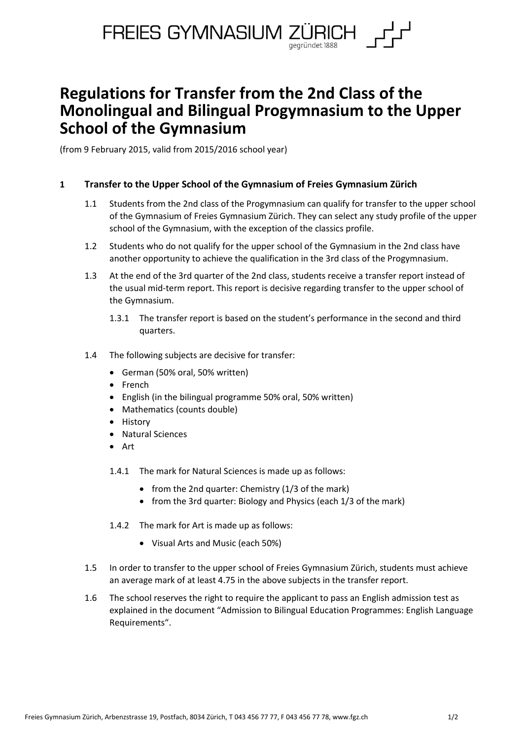

# **Regulations for Transfer from the 2nd Class of the Monolingual and Bilingual Progymnasium to the Upper School of the Gymnasium**

(from 9 February 2015, valid from 2015/2016 school year)

## **1 Transfer to the Upper School of the Gymnasium of Freies Gymnasium Zürich**

- 1.1 Students from the 2nd class of the Progymnasium can qualify for transfer to the upper school of the Gymnasium of Freies Gymnasium Zürich. They can select any study profile of the upper school of the Gymnasium, with the exception of the classics profile.
- 1.2 Students who do not qualify for the upper school of the Gymnasium in the 2nd class have another opportunity to achieve the qualification in the 3rd class of the Progymnasium.
- 1.3 At the end of the 3rd quarter of the 2nd class, students receive a transfer report instead of the usual mid-term report. This report is decisive regarding transfer to the upper school of the Gymnasium.
	- 1.3.1 The transfer report is based on the student's performance in the second and third quarters.
- 1.4 The following subjects are decisive for transfer:
	- German (50% oral, 50% written)
	- French
	- English (in the bilingual programme 50% oral, 50% written)
	- Mathematics (counts double)
	- History
	- Natural Sciences
	- Art
	- 1.4.1 The mark for Natural Sciences is made up as follows:
		- from the 2nd quarter: Chemistry  $(1/3)$  of the mark)
		- from the 3rd quarter: Biology and Physics (each 1/3 of the mark)
	- 1.4.2 The mark for Art is made up as follows:
		- Visual Arts and Music (each 50%)
- 1.5 In order to transfer to the upper school of Freies Gymnasium Zürich, students must achieve an average mark of at least 4.75 in the above subjects in the transfer report.
- 1.6 The school reserves the right to require the applicant to pass an English admission test as explained in the document "Admission to Bilingual Education Programmes: English Language Requirements".